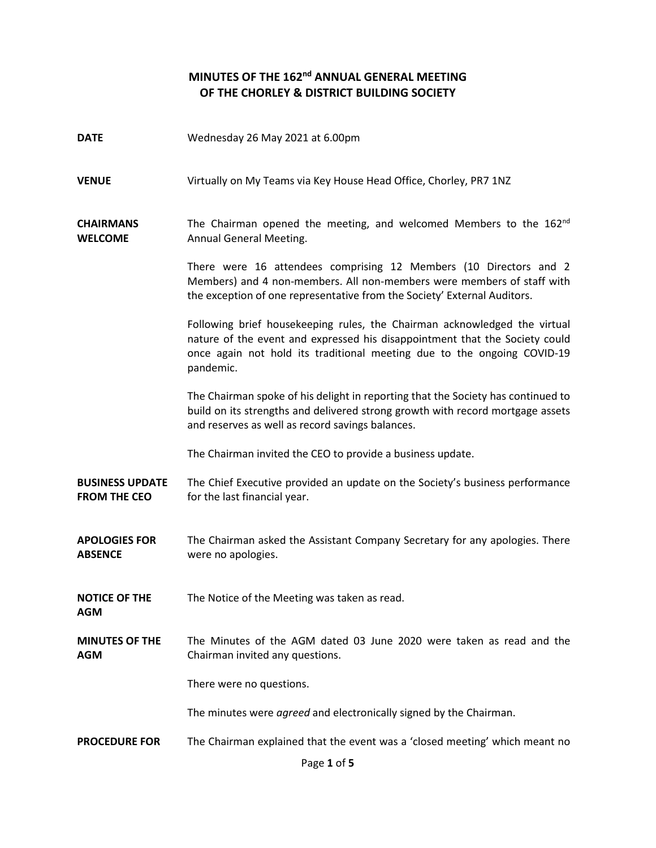## **MINUTES OF THE 162nd ANNUAL GENERAL MEETING OF THE CHORLEY & DISTRICT BUILDING SOCIETY**

| <b>DATE</b>                                   | Wednesday 26 May 2021 at 6.00pm                                                                                                                                                                                                                  |
|-----------------------------------------------|--------------------------------------------------------------------------------------------------------------------------------------------------------------------------------------------------------------------------------------------------|
| <b>VENUE</b>                                  | Virtually on My Teams via Key House Head Office, Chorley, PR7 1NZ                                                                                                                                                                                |
| <b>CHAIRMANS</b><br><b>WELCOME</b>            | The Chairman opened the meeting, and welcomed Members to the 162 <sup>nd</sup><br>Annual General Meeting.                                                                                                                                        |
|                                               | There were 16 attendees comprising 12 Members (10 Directors and 2<br>Members) and 4 non-members. All non-members were members of staff with<br>the exception of one representative from the Society' External Auditors.                          |
|                                               | Following brief housekeeping rules, the Chairman acknowledged the virtual<br>nature of the event and expressed his disappointment that the Society could<br>once again not hold its traditional meeting due to the ongoing COVID-19<br>pandemic. |
|                                               | The Chairman spoke of his delight in reporting that the Society has continued to<br>build on its strengths and delivered strong growth with record mortgage assets<br>and reserves as well as record savings balances.                           |
|                                               | The Chairman invited the CEO to provide a business update.                                                                                                                                                                                       |
| <b>BUSINESS UPDATE</b><br><b>FROM THE CEO</b> | The Chief Executive provided an update on the Society's business performance<br>for the last financial year.                                                                                                                                     |
| <b>APOLOGIES FOR</b><br><b>ABSENCE</b>        | The Chairman asked the Assistant Company Secretary for any apologies. There<br>were no apologies.                                                                                                                                                |
| <b>NOTICE OF THE</b><br><b>AGM</b>            | The Notice of the Meeting was taken as read.                                                                                                                                                                                                     |
| <b>MINUTES OF THE</b><br><b>AGM</b>           | The Minutes of the AGM dated 03 June 2020 were taken as read and the<br>Chairman invited any questions.                                                                                                                                          |
|                                               | There were no questions.                                                                                                                                                                                                                         |
|                                               | The minutes were agreed and electronically signed by the Chairman.                                                                                                                                                                               |
| <b>PROCEDURE FOR</b>                          | The Chairman explained that the event was a 'closed meeting' which meant no<br>Page 1 of 5                                                                                                                                                       |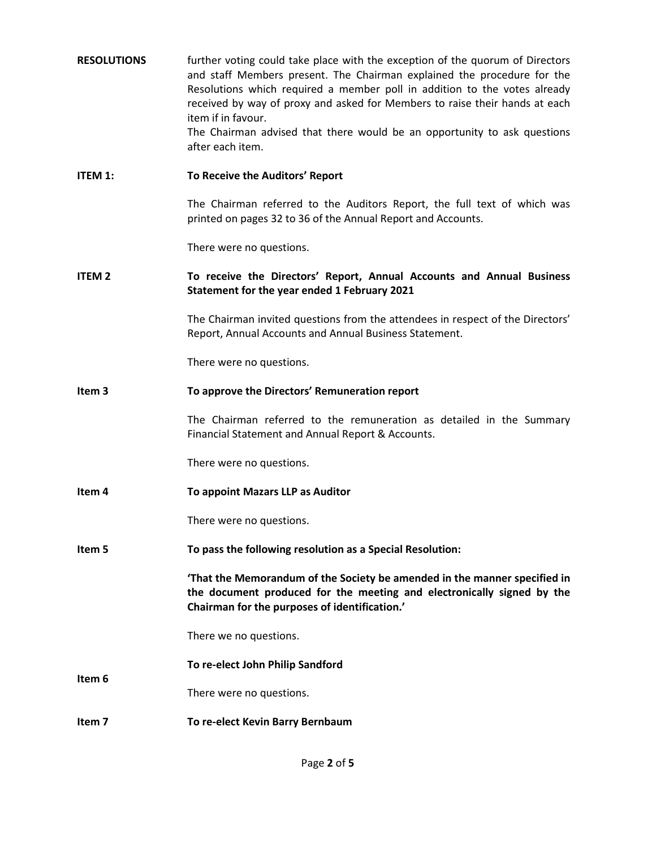| <b>RESOLUTIONS</b> | further voting could take place with the exception of the quorum of Directors<br>and staff Members present. The Chairman explained the procedure for the<br>Resolutions which required a member poll in addition to the votes already<br>received by way of proxy and asked for Members to raise their hands at each<br>item if in favour.<br>The Chairman advised that there would be an opportunity to ask questions<br>after each item. |
|--------------------|--------------------------------------------------------------------------------------------------------------------------------------------------------------------------------------------------------------------------------------------------------------------------------------------------------------------------------------------------------------------------------------------------------------------------------------------|
| <b>ITEM 1:</b>     | To Receive the Auditors' Report                                                                                                                                                                                                                                                                                                                                                                                                            |
|                    | The Chairman referred to the Auditors Report, the full text of which was<br>printed on pages 32 to 36 of the Annual Report and Accounts.                                                                                                                                                                                                                                                                                                   |
|                    | There were no questions.                                                                                                                                                                                                                                                                                                                                                                                                                   |
| <b>ITEM 2</b>      | To receive the Directors' Report, Annual Accounts and Annual Business<br>Statement for the year ended 1 February 2021                                                                                                                                                                                                                                                                                                                      |
|                    | The Chairman invited questions from the attendees in respect of the Directors'<br>Report, Annual Accounts and Annual Business Statement.                                                                                                                                                                                                                                                                                                   |
|                    | There were no questions.                                                                                                                                                                                                                                                                                                                                                                                                                   |
| Item 3             | To approve the Directors' Remuneration report                                                                                                                                                                                                                                                                                                                                                                                              |
|                    | The Chairman referred to the remuneration as detailed in the Summary<br>Financial Statement and Annual Report & Accounts.                                                                                                                                                                                                                                                                                                                  |
|                    | There were no questions.                                                                                                                                                                                                                                                                                                                                                                                                                   |
| Item 4             | To appoint Mazars LLP as Auditor                                                                                                                                                                                                                                                                                                                                                                                                           |
|                    | There were no questions.                                                                                                                                                                                                                                                                                                                                                                                                                   |
| Item 5             | To pass the following resolution as a Special Resolution:                                                                                                                                                                                                                                                                                                                                                                                  |
|                    | That the Memorandum of the Society be amended in the manner specified in<br>the document produced for the meeting and electronically signed by the<br>Chairman for the purposes of identification.'                                                                                                                                                                                                                                        |
|                    | There we no questions.                                                                                                                                                                                                                                                                                                                                                                                                                     |
| Item 6             | To re-elect John Philip Sandford                                                                                                                                                                                                                                                                                                                                                                                                           |
|                    | There were no questions.                                                                                                                                                                                                                                                                                                                                                                                                                   |
| Item 7             | To re-elect Kevin Barry Bernbaum                                                                                                                                                                                                                                                                                                                                                                                                           |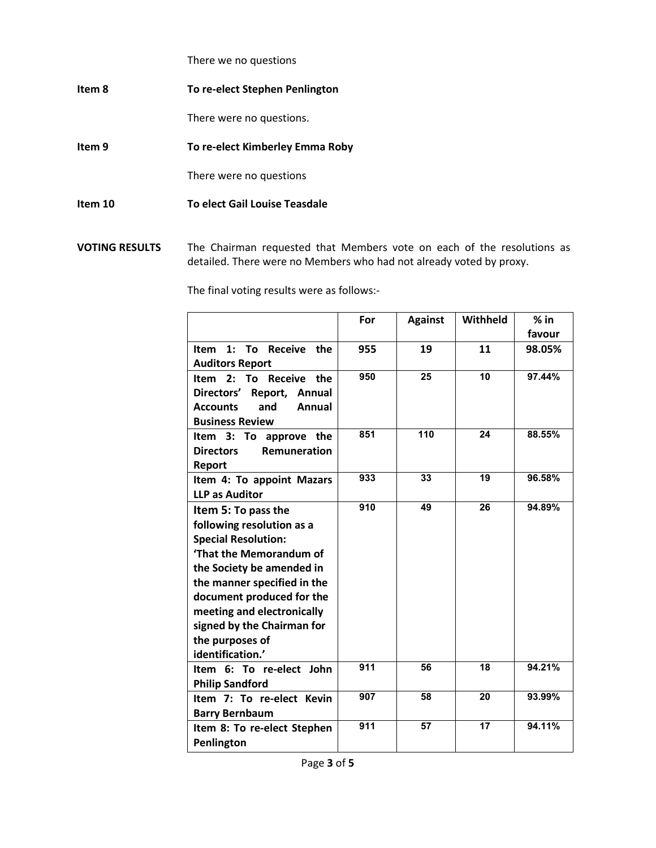There we no questions

**Item 8 To re-elect Stephen Penlington** 

There were no questions.

**Item 9 To re-elect Kimberley Emma Roby**

There were no questions

- **Item 10 To elect Gail Louise Teasdale**
- **VOTING RESULTS** The Chairman requested that Members vote on each of the resolutions as detailed. There were no Members who had not already voted by proxy.

The final voting results were as follows:-

|                                                 | For              | <b>Against</b>  | Withheld        | $%$ in |
|-------------------------------------------------|------------------|-----------------|-----------------|--------|
|                                                 |                  |                 |                 | favour |
| $1:$ To<br><b>Receive</b><br><b>Item</b><br>the | 955              | 19              | 11              | 98.05% |
| <b>Auditors Report</b>                          |                  |                 |                 |        |
| <b>Receive</b><br>To<br>the<br>Item $2:$        | 950              | 25              | 10              | 97.44% |
| Directors'<br>Report, Annual                    |                  |                 |                 |        |
| and<br><b>Accounts</b><br>Annual                |                  |                 |                 |        |
| <b>Business Review</b>                          |                  |                 |                 |        |
| Item 3: To approve the                          | 851              | 110             | 24              | 88.55% |
| <b>Remuneration</b><br><b>Directors</b>         |                  |                 |                 |        |
| Report                                          |                  |                 |                 |        |
| Item 4: To appoint Mazars                       | 933              | 33              | 19              | 96.58% |
| <b>LLP as Auditor</b>                           |                  |                 |                 |        |
| Item 5: To pass the                             | 910              | 49              | 26              | 94.89% |
| following resolution as a                       |                  |                 |                 |        |
| <b>Special Resolution:</b>                      |                  |                 |                 |        |
| 'That the Memorandum of                         |                  |                 |                 |        |
| the Society be amended in                       |                  |                 |                 |        |
| the manner specified in the                     |                  |                 |                 |        |
| document produced for the                       |                  |                 |                 |        |
| meeting and electronically                      |                  |                 |                 |        |
| signed by the Chairman for                      |                  |                 |                 |        |
| the purposes of                                 |                  |                 |                 |        |
| identification.'                                |                  |                 |                 |        |
| Item 6: To re-elect John                        | $\overline{911}$ | 56              | 18              | 94.21% |
| <b>Philip Sandford</b>                          |                  |                 |                 |        |
| Item 7: To re-elect Kevin                       | 907              | 58              | 20              | 93.99% |
| <b>Barry Bernbaum</b>                           |                  |                 |                 |        |
| Item 8: To re-elect Stephen                     | $\overline{911}$ | $\overline{57}$ | $\overline{17}$ | 94.11% |
| Penlington                                      |                  |                 |                 |        |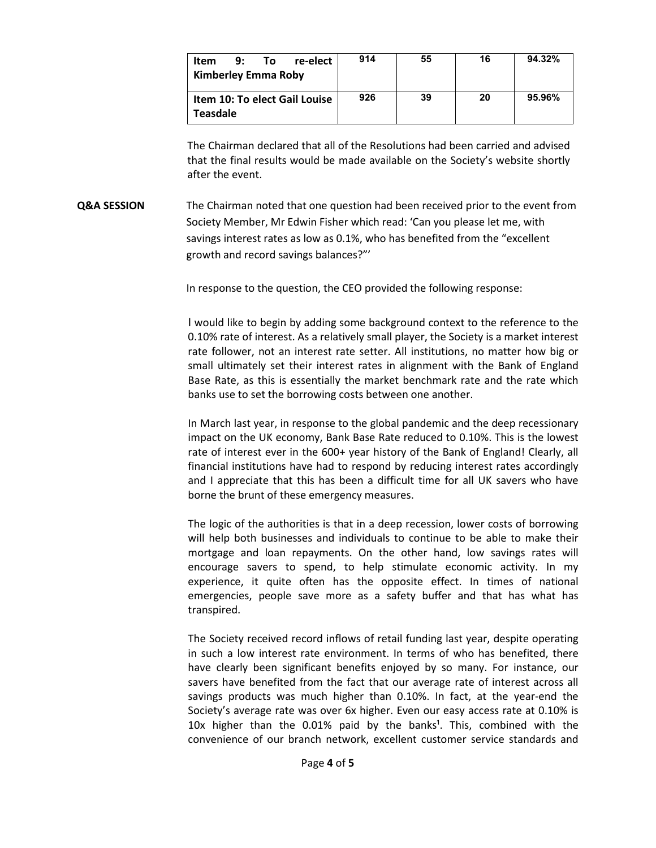| Item                                      | 9: | To | re-elect | 914 | 55 | 16     | 94.32% |
|-------------------------------------------|----|----|----------|-----|----|--------|--------|
| Kimberley Emma Roby                       |    |    |          |     |    |        |        |
| Item 10: To elect Gail Louise<br>Teasdale |    |    | 926      | 39  | 20 | 95.96% |        |

The Chairman declared that all of the Resolutions had been carried and advised that the final results would be made available on the Society's website shortly after the event.

**Q&A SESSION** The Chairman noted that one question had been received prior to the event from Society Member, Mr Edwin Fisher which read: 'Can you please let me, with savings interest rates as low as 0.1%, who has benefited from the "excellent growth and record savings balances?"'

In response to the question, the CEO provided the following response:

I would like to begin by adding some background context to the reference to the 0.10% rate of interest. As a relatively small player, the Society is a market interest rate follower, not an interest rate setter. All institutions, no matter how big or small ultimately set their interest rates in alignment with the Bank of England Base Rate, as this is essentially the market benchmark rate and the rate which banks use to set the borrowing costs between one another.

In March last year, in response to the global pandemic and the deep recessionary impact on the UK economy, Bank Base Rate reduced to 0.10%. This is the lowest rate of interest ever in the 600+ year history of the Bank of England! Clearly, all financial institutions have had to respond by reducing interest rates accordingly and I appreciate that this has been a difficult time for all UK savers who have borne the brunt of these emergency measures.

The logic of the authorities is that in a deep recession, lower costs of borrowing will help both businesses and individuals to continue to be able to make their mortgage and loan repayments. On the other hand, low savings rates will encourage savers to spend, to help stimulate economic activity. In my experience, it quite often has the opposite effect. In times of national emergencies, people save more as a safety buffer and that has what has transpired.

The Society received record inflows of retail funding last year, despite operating in such a low interest rate environment. In terms of who has benefited, there have clearly been significant benefits enjoyed by so many. For instance, our savers have benefited from the fact that our average rate of interest across all savings products was much higher than 0.10%. In fact, at the year-end the Society's average rate was over 6x higher. Even our easy access rate at 0.10% is 10x higher than the  $0.01\%$  paid by the banks<sup>1</sup>. This, combined with the convenience of our branch network, excellent customer service standards and